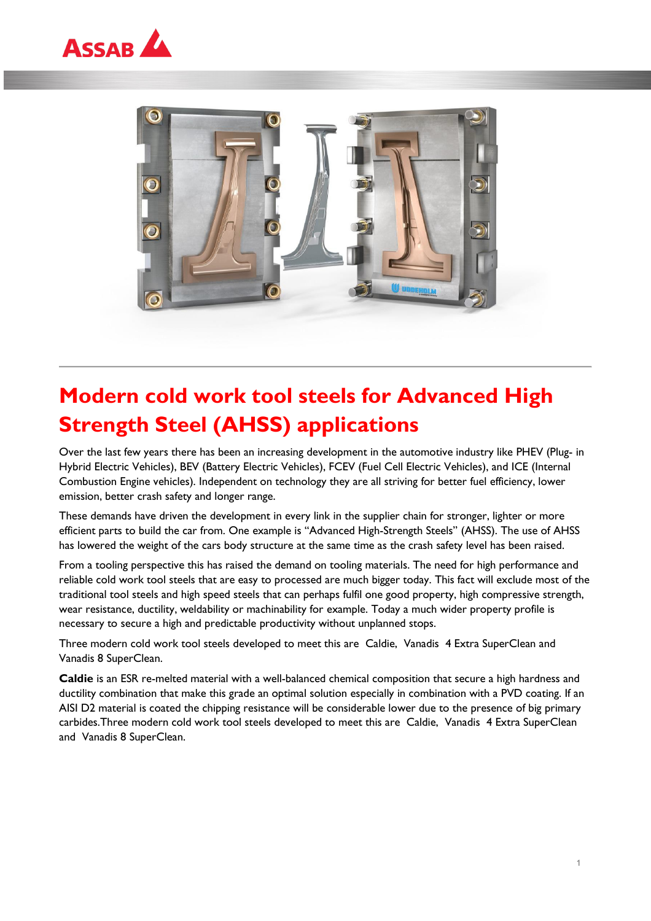



## **Modern cold work tool steels for Advanced High Strength Steel (AHSS) applications**

Over the last few years there has been an increasing development in the automotive industry like PHEV (Plug- in Hybrid Electric Vehicles), BEV (Battery Electric Vehicles), FCEV (Fuel Cell Electric Vehicles), and ICE (Internal Combustion Engine vehicles). Independent on technology they are all striving for better fuel efficiency, lower emission, better crash safety and longer range.

These demands have driven the development in every link in the supplier chain for stronger, lighter or more efficient parts to build the car from. One example is "Advanced High-Strength Steels" (AHSS). The use of AHSS has lowered the weight of the cars body structure at the same time as the crash safety level has been raised.

From a tooling perspective this has raised the demand on tooling materials. The need for high performance and reliable cold work tool steels that are easy to processed are much bigger today. This fact will exclude most of the traditional tool steels and high speed steels that can perhaps fulfil one good property, high compressive strength, wear resistance, ductility, weldability or machinability for example. Today a much wider property profile is necessary to secure a high and predictable productivity without unplanned stops.

Three modern cold work tool steels developed to meet this are Caldie, Vanadis 4 Extra SuperClean and Vanadis 8 SuperClean.

**Caldie** is an ESR re-melted material with a well-balanced chemical composition that secure a high hardness and ductility combination that make this grade an optimal solution especially in combination with a PVD coating. If an AISI D2 material is coated the chipping resistance will be considerable lower due to the presence of big primary carbides.Three modern cold work tool steels developed to meet this are Caldie, Vanadis 4 Extra SuperClean and Vanadis 8 SuperClean.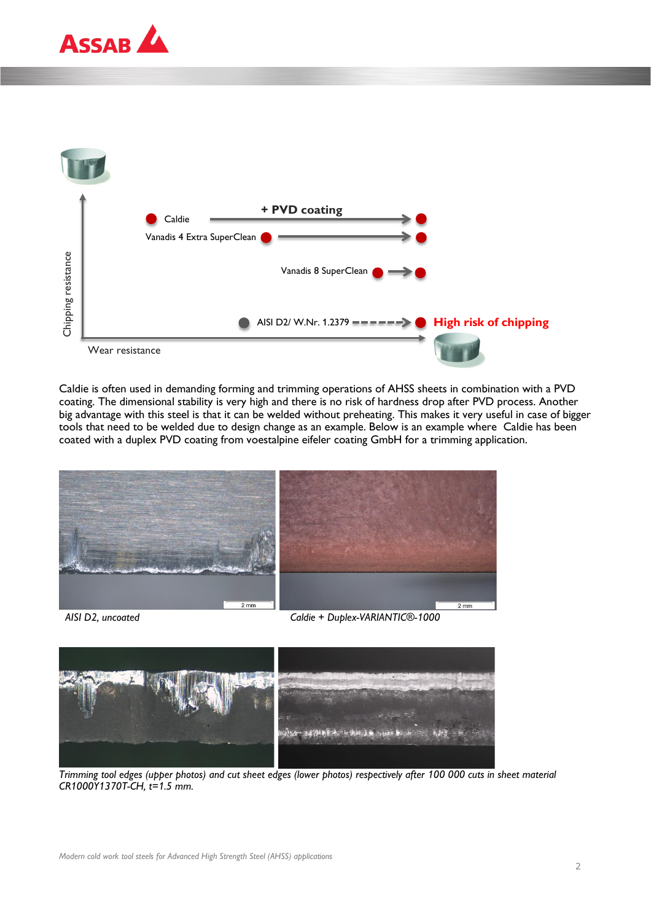



Caldie is often used in demanding forming and trimming operations of AHSS sheets in combination with a PVD coating. The dimensional stability is very high and there is no risk of hardness drop after PVD process. Another big advantage with this steel is that it can be welded without preheating. This makes it very useful in case of bigger tools that need to be welded due to design change as an example. Below is an example where Caldie has been coated with a duplex PVD coating from voestalpine eifeler coating GmbH for a trimming application.





*Trimming tool edges (upper photos) and cut sheet edges (lower photos) respectively after 100 000 cuts in sheet material CR1000Y1370T-CH, t=1.5 mm.*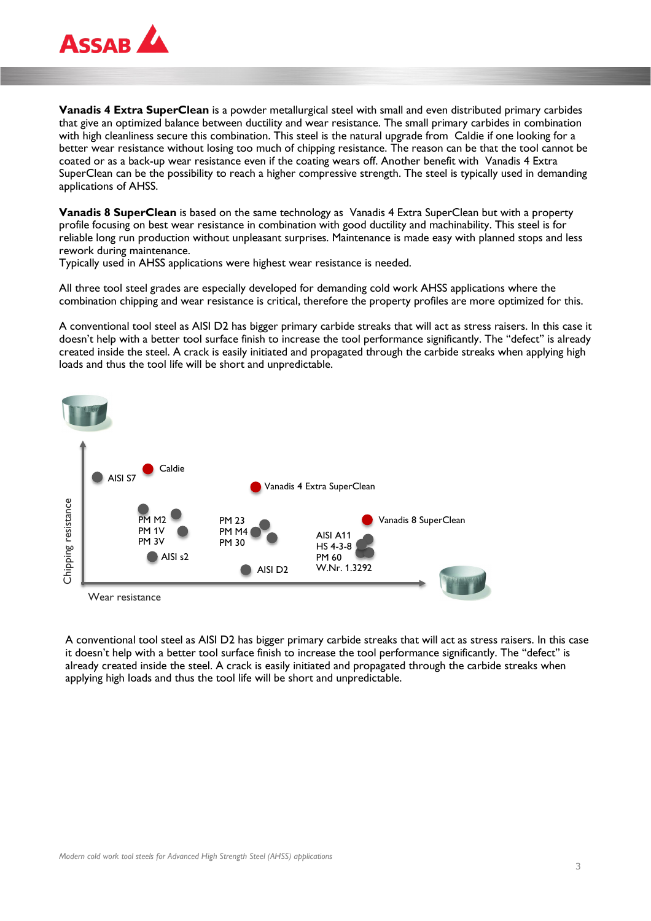

**Vanadis 4 Extra SuperClean** is a powder metallurgical steel with small and even distributed primary carbides that give an optimized balance between ductility and wear resistance. The small primary carbides in combination with high cleanliness secure this combination. This steel is the natural upgrade from Caldie if one looking for a better wear resistance without losing too much of chipping resistance. The reason can be that the tool cannot be coated or as a back-up wear resistance even if the coating wears off. Another benefit with Vanadis 4 Extra SuperClean can be the possibility to reach a higher compressive strength. The steel is typically used in demanding applications of AHSS.

**Vanadis 8 SuperClean** is based on the same technology as Vanadis 4 Extra SuperClean but with a property profile focusing on best wear resistance in combination with good ductility and machinability. This steel is for reliable long run production without unpleasant surprises. Maintenance is made easy with planned stops and less rework during maintenance.

Typically used in AHSS applications were highest wear resistance is needed.

All three tool steel grades are especially developed for demanding cold work AHSS applications where the combination chipping and wear resistance is critical, therefore the property profiles are more optimized for this.

A conventional tool steel as AISI D2 has bigger primary carbide streaks that will act as stress raisers. In this case it doesn't help with a better tool surface finish to increase the tool performance significantly. The "defect" is already created inside the steel. A crack is easily initiated and propagated through the carbide streaks when applying high loads and thus the tool life will be short and unpredictable.



A conventional tool steel as AISI D2 has bigger primary carbide streaks that will act as stress raisers. In this case it doesn't help with a better tool surface finish to increase the tool performance significantly. The "defect" is already created inside the steel. A crack is easily initiated and propagated through the carbide streaks when applying high loads and thus the tool life will be short and unpredictable.